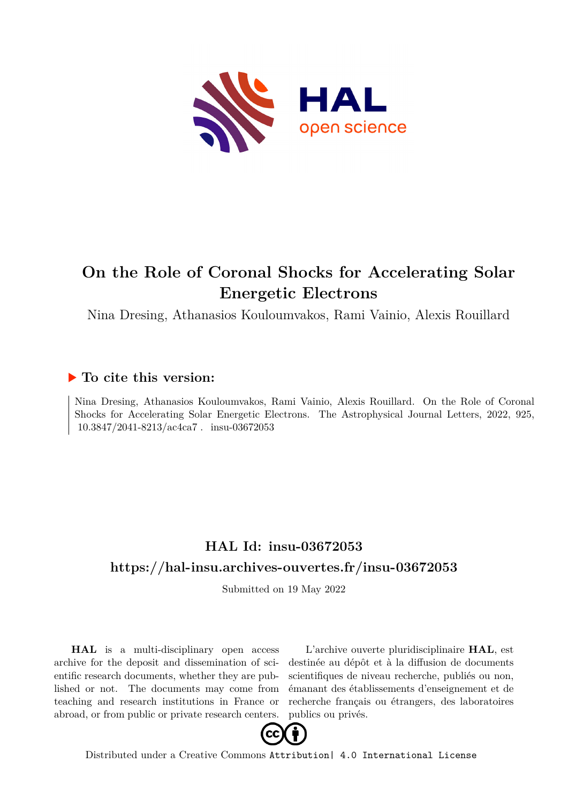

# **On the Role of Coronal Shocks for Accelerating Solar Energetic Electrons**

Nina Dresing, Athanasios Kouloumvakos, Rami Vainio, Alexis Rouillard

## **To cite this version:**

Nina Dresing, Athanasios Kouloumvakos, Rami Vainio, Alexis Rouillard. On the Role of Coronal Shocks for Accelerating Solar Energetic Electrons. The Astrophysical Journal Letters, 2022, 925,  $10.3847/2041-8213/\text{ac}4\text{ca}7$ . insu-03672053

## **HAL Id: insu-03672053 <https://hal-insu.archives-ouvertes.fr/insu-03672053>**

Submitted on 19 May 2022

**HAL** is a multi-disciplinary open access archive for the deposit and dissemination of scientific research documents, whether they are published or not. The documents may come from teaching and research institutions in France or abroad, or from public or private research centers.

L'archive ouverte pluridisciplinaire **HAL**, est destinée au dépôt et à la diffusion de documents scientifiques de niveau recherche, publiés ou non, émanant des établissements d'enseignement et de recherche français ou étrangers, des laboratoires publics ou privés.



Distributed under a Creative Commons [Attribution| 4.0 International License](http://creativecommons.org/licenses/by/4.0/)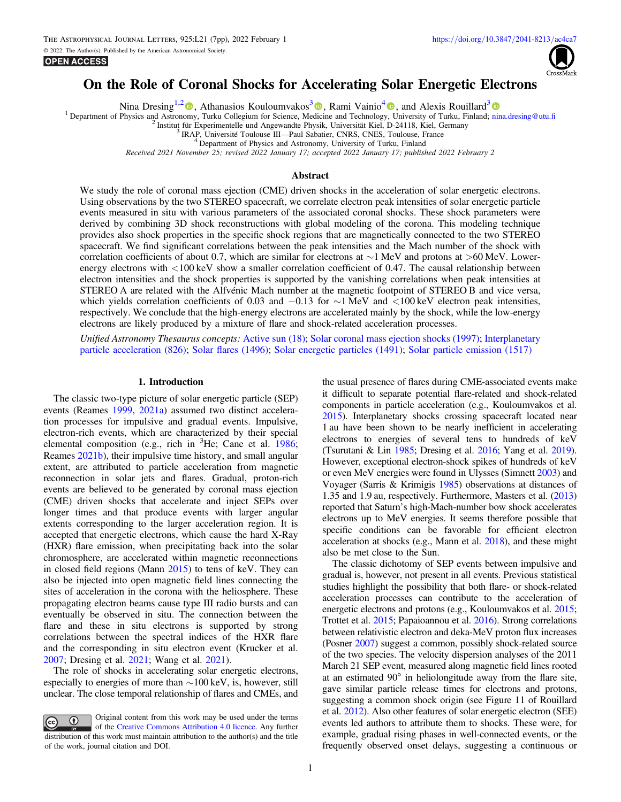



### On the Role of Coronal Shocks for Accelerating Solar Energetic Electrons

Nina Dresing<sup>1,[2](https://orcid.org/0000-0003-3903-4649)</sup>  $\bullet$ , Athanasios Kouloumvakos<sup>[3](https://orcid.org/0000-0003-4039-5767)</sup> $\bullet$ , Rami Vainio<sup>[4](https://orcid.org/0000-0002-3298-2067)</sup> $\bullet$ , and Alexis Rouillard<sup>3</sup> $\bullet$ 

<sup>1</sup> Department of Physics and Astronomy, Turku Collegium for Science, Medicine and Technology, University of Turku, Finland; [nina.dresing@utu.](mailto:nina.dresing@utu.fi)fi <sup>2</sup><br><sup>2</sup> Institut für Experimentelle und Angewandte Physik, Universität Kiel,

Received 2021 November 25; revised 2022 January 17; accepted 2022 January 17; published 2022 February 2

#### Abstract

We study the role of coronal mass ejection (CME) driven shocks in the acceleration of solar energetic electrons. Using observations by the two STEREO spacecraft, we correlate electron peak intensities of solar energetic particle events measured in situ with various parameters of the associated coronal shocks. These shock parameters were derived by combining 3D shock reconstructions with global modeling of the corona. This modeling technique provides also shock properties in the specific shock regions that are magnetically connected to the two STEREO spacecraft. We find significant correlations between the peak intensities and the Mach number of the shock with correlation coefficients of about 0.7, which are similar for electrons at ∼1 MeV and protons at >60 MeV. Lowerenergy electrons with  $<100$  keV show a smaller correlation coefficient of 0.47. The causal relationship between electron intensities and the shock properties is supported by the vanishing correlations when peak intensities at STEREO A are related with the Alfvénic Mach number at the magnetic footpoint of STEREO B and vice versa, which yields correlation coefficients of 0.03 and  $-0.13$  for ∼1 MeV and <100 keV electron peak intensities, respectively. We conclude that the high-energy electrons are accelerated mainly by the shock, while the low-energy electrons are likely produced by a mixture of flare and shock-related acceleration processes.

Unified Astronomy Thesaurus concepts: [Active sun](http://astrothesaurus.org/uat/18) (18); [Solar coronal mass ejection shocks](http://astrothesaurus.org/uat/1997) (1997); [Interplanetary](http://astrothesaurus.org/uat/826) [particle acceleration](http://astrothesaurus.org/uat/826) (826); [Solar](http://astrothesaurus.org/uat/1496) flares (1496); [Solar energetic particles](http://astrothesaurus.org/uat/1491) (1491); [Solar particle emission](http://astrothesaurus.org/uat/1517) (1517)

#### 1. Introduction

The classic two-type picture of solar energetic particle (SEP) events (Reames 1999, 2021a) assumed two distinct acceleration processes for impulsive and gradual events. Impulsive, electron-rich events, which are characterized by their special elemental composition (e.g., rich in <sup>3</sup>He; Cane et al. 1986; Reames 2021b), their impulsive time history, and small angular extent, are attributed to particle acceleration from magnetic reconnection in solar jets and flares. Gradual, proton-rich events are believed to be generated by coronal mass ejection (CME) driven shocks that accelerate and inject SEPs over longer times and that produce events with larger angular extents corresponding to the larger acceleration region. It is accepted that energetic electrons, which cause the hard X-Ray (HXR) flare emission, when precipitating back into the solar chromosphere, are accelerated within magnetic reconnections in closed field regions (Mann 2015) to tens of keV. They can also be injected into open magnetic field lines connecting the sites of acceleration in the corona with the heliosphere. These propagating electron beams cause type III radio bursts and can eventually be observed in situ. The connection between the flare and these in situ electrons is supported by strong correlations between the spectral indices of the HXR flare and the corresponding in situ electron event (Krucker et al. 2007; Dresing et al. 2021; Wang et al. 2021).

The role of shocks in accelerating solar energetic electrons, especially to energies of more than  $\sim$ 100 keV, is, however, still unclear. The close temporal relationship of flares and CMEs, and

Original content from this work may be used under the terms  $\bf{r}$  $\left(\mathrm{cc}\right)$ of the [Creative Commons Attribution 4.0 licence.](http://creativecommons.org/licenses/by/4.0/) Any further distribution of this work must maintain attribution to the author(s) and the title of the work, journal citation and DOI.

the usual presence of flares during CME-associated events make it difficult to separate potential flare-related and shock-related components in particle acceleration (e.g., Kouloumvakos et al. 2015). Interplanetary shocks crossing spacecraft located near 1 au have been shown to be nearly inefficient in accelerating electrons to energies of several tens to hundreds of keV (Tsurutani & Lin 1985; Dresing et al. 2016; Yang et al. 2019). However, exceptional electron-shock spikes of hundreds of keV or even MeV energies were found in Ulysses (Simnett 2003) and Voyager (Sarris & Krimigis 1985) observations at distances of 1.35 and 1.9 au, respectively. Furthermore, Masters et al. (2013) reported that Saturn's high-Mach-number bow shock accelerates electrons up to MeV energies. It seems therefore possible that specific conditions can be favorable for efficient electron acceleration at shocks (e.g., Mann et al. 2018), and these might also be met close to the Sun.

The classic dichotomy of SEP events between impulsive and gradual is, however, not present in all events. Previous statistical studies highlight the possibility that both flare- or shock-related acceleration processes can contribute to the acceleration of energetic electrons and protons (e.g., Kouloumvakos et al. 2015; Trottet et al. 2015; Papaioannou et al. 2016). Strong correlations between relativistic electron and deka-MeV proton flux increases (Posner 2007) suggest a common, possibly shock-related source of the two species. The velocity dispersion analyses of the 2011 March 21 SEP event, measured along magnetic field lines rooted at an estimated 90° in heliolongitude away from the flare site, gave similar particle release times for electrons and protons, suggesting a common shock origin (see Figure 11 of Rouillard et al. 2012). Also other features of solar energetic electron (SEE) events led authors to attribute them to shocks. These were, for example, gradual rising phases in well-connected events, or the frequently observed onset delays, suggesting a continuous or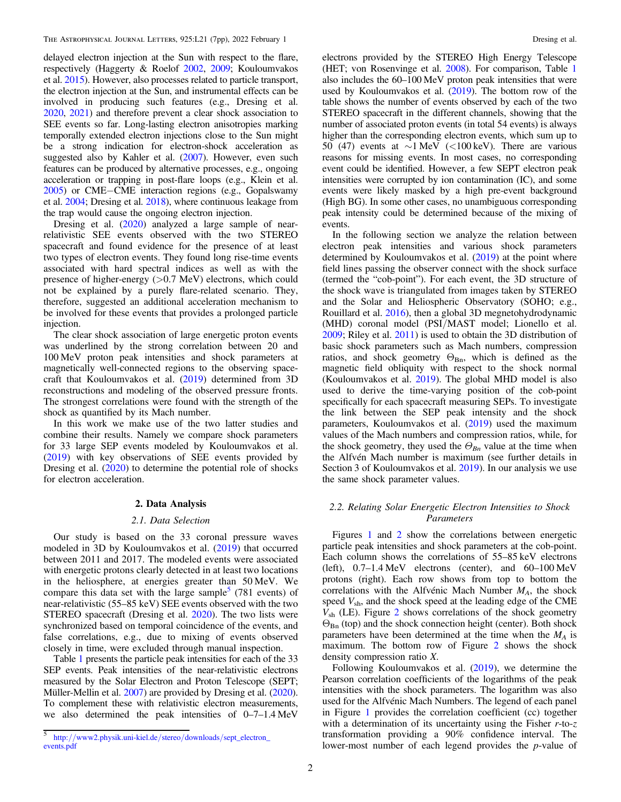delayed electron injection at the Sun with respect to the flare, respectively (Haggerty & Roelof 2002, 2009; Kouloumvakos et al. 2015). However, also processes related to particle transport, the electron injection at the Sun, and instrumental effects can be involved in producing such features (e.g., Dresing et al. 2020, 2021) and therefore prevent a clear shock association to SEE events so far. Long-lasting electron anisotropies marking temporally extended electron injections close to the Sun might be a strong indication for electron-shock acceleration as suggested also by Kahler et al. (2007). However, even such features can be produced by alternative processes, e.g., ongoing acceleration or trapping in post-flare loops (e.g., Klein et al. 2005) or CME−CME interaction regions (e.g., Gopalswamy et al. 2004; Dresing et al. 2018), where continuous leakage from the trap would cause the ongoing electron injection.

Dresing et al. (2020) analyzed a large sample of nearrelativistic SEE events observed with the two STEREO spacecraft and found evidence for the presence of at least two types of electron events. They found long rise-time events associated with hard spectral indices as well as with the presence of higher-energy  $(>0.7 \text{ MeV})$  electrons, which could not be explained by a purely flare-related scenario. They, therefore, suggested an additional acceleration mechanism to be involved for these events that provides a prolonged particle injection.

The clear shock association of large energetic proton events was underlined by the strong correlation between 20 and 100 MeV proton peak intensities and shock parameters at magnetically well-connected regions to the observing spacecraft that Kouloumvakos et al. (2019) determined from 3D reconstructions and modeling of the observed pressure fronts. The strongest correlations were found with the strength of the shock as quantified by its Mach number.

In this work we make use of the two latter studies and combine their results. Namely we compare shock parameters for 33 large SEP events modeled by Kouloumvakos et al. (2019) with key observations of SEE events provided by Dresing et al. (2020) to determine the potential role of shocks for electron acceleration.

#### 2. Data Analysis

#### 2.1. Data Selection

Our study is based on the 33 coronal pressure waves modeled in 3D by Kouloumvakos et al. (2019) that occurred between 2011 and 2017. The modeled events were associated with energetic protons clearly detected in at least two locations in the heliosphere, at energies greater than 50 MeV. We compare this data set with the large sample $\frac{3}{2}$  (781 events) of near-relativistic (55–85 keV) SEE events observed with the two STEREO spacecraft (Dresing et al. 2020). The two lists were synchronized based on temporal coincidence of the events, and false correlations, e.g., due to mixing of events observed closely in time, were excluded through manual inspection.

Table 1 presents the particle peak intensities for each of the 33 SEP events. Peak intensities of the near-relativistic electrons measured by the Solar Electron and Proton Telescope (SEPT; Müller-Mellin et al. 2007) are provided by Dresing et al. (2020). To complement these with relativistic electron measurements, we also determined the peak intensities of  $0-7-1.4 \text{ MeV}$  electrons provided by the STEREO High Energy Telescope (HET; von Rosenvinge et al. 2008). For comparison, Table 1 also includes the 60–100 MeV proton peak intensities that were used by Kouloumvakos et al. (2019). The bottom row of the table shows the number of events observed by each of the two STEREO spacecraft in the different channels, showing that the number of associated proton events (in total 54 events) is always higher than the corresponding electron events, which sum up to 50 (47) events at  $\sim$ 1 MeV (<100 keV). There are various reasons for missing events. In most cases, no corresponding event could be identified. However, a few SEPT electron peak intensities were corrupted by ion contamination (IC), and some events were likely masked by a high pre-event background (High BG). In some other cases, no unambiguous corresponding peak intensity could be determined because of the mixing of events.

In the following section we analyze the relation between electron peak intensities and various shock parameters determined by Kouloumvakos et al. (2019) at the point where field lines passing the observer connect with the shock surface (termed the "cob-point"). For each event, the 3D structure of the shock wave is triangulated from images taken by STEREO and the Solar and Heliospheric Observatory (SOHO; e.g., Rouillard et al. 2016), then a global 3D megnetohydrodynamic (MHD) coronal model (PSI/MAST model; Lionello et al. 2009; Riley et al. 2011) is used to obtain the 3D distribution of basic shock parameters such as Mach numbers, compression ratios, and shock geometry  $\Theta_{\text{Bn}}$ , which is defined as the magnetic field obliquity with respect to the shock normal (Kouloumvakos et al. 2019). The global MHD model is also used to derive the time-varying position of the cob-point specifically for each spacecraft measuring SEPs. To investigate the link between the SEP peak intensity and the shock parameters, Kouloumvakos et al. (2019) used the maximum values of the Mach numbers and compression ratios, while, for the shock geometry, they used the  $\Theta_{Bn}$  value at the time when the Alfvén Mach number is maximum (see further details in Section 3 of Kouloumvakos et al. 2019). In our analysis we use the same shock parameter values.

### 2.2. Relating Solar Energetic Electron Intensities to Shock Parameters

Figures 1 and 2 show the correlations between energetic particle peak intensities and shock parameters at the cob-point. Each column shows the correlations of 55–85 keV electrons (left), 0.7–1.4 MeV electrons (center), and 60–100 MeV protons (right). Each row shows from top to bottom the correlations with the Alfvénic Mach Number  $M_A$ , the shock speed  $V_{\rm sh}$ , and the shock speed at the leading edge of the CME  $V_{\rm sh}$  (LE). Figure 2 shows correlations of the shock geometry  $\Theta_{\text{Bn}}$  (top) and the shock connection height (center). Both shock parameters have been determined at the time when the  $M_A$  is maximum. The bottom row of Figure 2 shows the shock density compression ratio X.

Following Kouloumvakos et al. (2019), we determine the Pearson correlation coefficients of the logarithms of the peak intensities with the shock parameters. The logarithm was also used for the Alfvénic Mach Numbers. The legend of each panel in Figure 1 provides the correlation coefficient (cc) together with a determination of its uncertainty using the Fisher  $r$ -to- $z$ transformation providing a 90% confidence interval. The lower-most number of each legend provides the p-value of

<sup>5</sup> http://[www2.physik.uni-kiel.de](http://www2.physik.uni-kiel.de/stereo/downloads/sept_electron_events.pdf)/stereo/downloads/sept\_electron\_ [events.pdf](http://www2.physik.uni-kiel.de/stereo/downloads/sept_electron_events.pdf)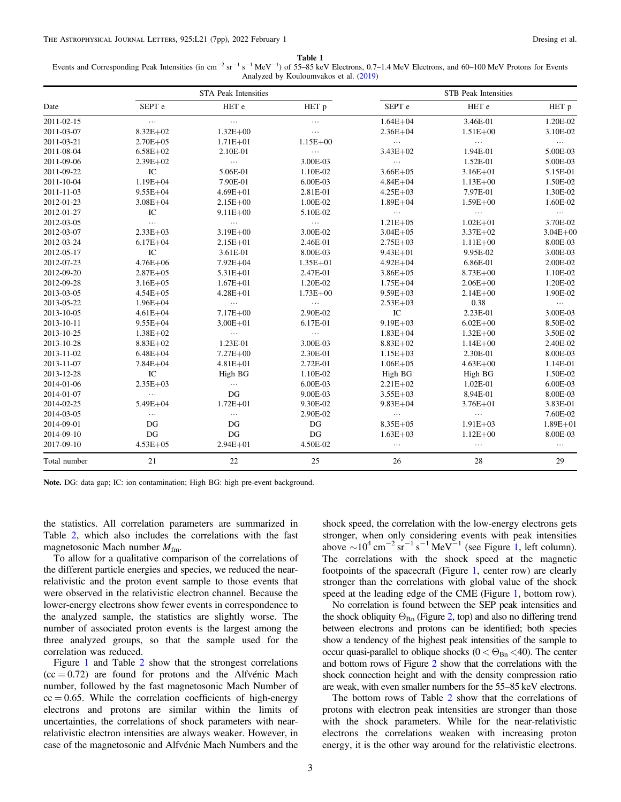Table 1

Events and Corresponding Peak Intensities (in cm<sup>-2</sup> sr<sup>-1</sup> s<sup>-1</sup> MeV<sup>-1</sup>) of 55–85 keV Electrons, 0.7–1.4 MeV Electrons, and 60–100 MeV Protons for Events Analyzed by Kouloumvakos et al. (2019)

|              | <b>STA Peak Intensities</b> |              |              | <b>STB</b> Peak Intensities |              |                  |
|--------------|-----------------------------|--------------|--------------|-----------------------------|--------------|------------------|
| Date         | SEPT <sub>e</sub>           | HET e        | HET p        | SEPT <sub>e</sub>           | HET e        | HET <sub>p</sub> |
| 2011-02-15   | $\cdots$                    | $\cdots$     | $\cdots$     | $1.64E + 04$                | 3.46E-01     | 1.20E-02         |
| 2011-03-07   | $8.32E + 02$                | $1.32E + 00$ | $\cdots$     | $2.36E + 04$                | $1.51E + 00$ | 3.10E-02         |
| 2011-03-21   | $2.70E + 05$                | $1.71E + 01$ | $1.15E + 00$ | $\ldots$                    | $\cdots$     | $\ldots$         |
| 2011-08-04   | $6.58E + 02$                | 2.10E-01     | $\ldots$     | $3.43E + 02$                | 1.94E-01     | 5.00E-03         |
| 2011-09-06   | $2.39E + 02$                | $\ldots$     | 3.00E-03     | $\ldots$                    | 1.52E-01     | 5.00E-03         |
| 2011-09-22   | $\rm{IC}$                   | 5.06E-01     | 1.10E-02     | $3.66E + 05$                | $3.16E + 01$ | 5.15E-01         |
| 2011-10-04   | $1.19E + 04$                | 7.90E-01     | 6.00E-03     | $4.84E + 04$                | $1.13E + 00$ | 1.50E-02         |
| 2011-11-03   | $9.55E + 04$                | $4.69E + 01$ | 2.81E-01     | $4.25E + 03$                | 7.97E-01     | 1.30E-02         |
| 2012-01-23   | $3.08E + 04$                | $2.15E + 00$ | 1.00E-02     | $1.89E + 04$                | $1.59E + 00$ | 1.60E-02         |
| 2012-01-27   | IC                          | $9.11E + 00$ | 5.10E-02     | $\ldots$                    | $\ldots$     | $\ldots$         |
| 2012-03-05   | $\cdots$                    | $\ldots$     | $\ldots$     | $1.21E + 05$                | $1.02E + 01$ | 3.70E-02         |
| 2012-03-07   | $2.33E + 03$                | $3.19E + 00$ | 3.00E-02     | $3.04E + 05$                | $3.37E + 02$ | $3.04E + 00$     |
| 2012-03-24   | $6.17E + 04$                | $2.15E + 01$ | 2.46E-01     | $2.75E+03$                  | $1.11E + 00$ | 8.00E-03         |
| 2012-05-17   | IC                          | 3.61E-01     | 8.00E-03     | $9.43E + 01$                | 9.95E-02     | 3.00E-03         |
| 2012-07-23   | $4.76E + 06$                | $7.92E + 04$ | $1.35E + 01$ | $4.92E + 04$                | 6.86E-01     | 2.00E-02         |
| 2012-09-20   | $2.87E + 05$                | $5.31E + 01$ | 2.47E-01     | $3.86E + 05$                | $8.73E + 00$ | 1.10E-02         |
| 2012-09-28   | $3.16E + 05$                | $1.67E + 01$ | 1.20E-02     | $1.75E + 04$                | $2.06E + 00$ | 1.20E-02         |
| 2013-03-05   | $4.54E + 05$                | $4.28E + 01$ | $1.73E + 00$ | $9.59E + 03$                | $2.14E + 00$ | 1.90E-02         |
| 2013-05-22   | $1.96E + 04$                | $\ldots$     | $\ldots$     | $2.53E+03$                  | 0.38         | $\cdots$         |
| 2013-10-05   | $4.61E + 04$                | $7.17E + 00$ | 2.90E-02     | IC                          | 2.23E-01     | 3.00E-03         |
| 2013-10-11   | $9.55E + 04$                | $3.00E + 01$ | 6.17E-01     | $9.19E + 03$                | $6.02E + 00$ | 8.50E-02         |
| 2013-10-25   | $1.38E + 02$                | $\cdots$     | $\cdots$     | $1.83E + 04$                | $1.32E + 00$ | 3.50E-02         |
| 2013-10-28   | $8.83E + 02$                | 1.23E-01     | 3.00E-03     | $8.83E + 02$                | $1.14E + 00$ | 2.40E-02         |
| 2013-11-02   | $6.48E + 04$                | $7.27E + 00$ | 2.30E-01     | $1.15E + 03$                | 2.30E-01     | 8.00E-03         |
| 2013-11-07   | $7.84E + 04$                | $4.81E + 01$ | 2.72E-01     | $1.06E + 05$                | $4.63E + 00$ | 1.14E-01         |
| 2013-12-28   | IC                          | High BG      | 1.10E-02     | High BG                     | High BG      | 1.50E-02         |
| 2014-01-06   | $2.35E+03$                  | $\cdots$     | 6.00E-03     | $2.21E + 02$                | 1.02E-01     | 6.00E-03         |
| 2014-01-07   | $\ldots$                    | DG           | 9.00E-03     | $3.55E+03$                  | 8.94E-01     | 8.00E-03         |
| 2014-02-25   | $5.49E + 04$                | $1.72E + 01$ | 9.30E-02     | $9.83E + 04$                | $3.76E + 01$ | 3.83E-01         |
| 2014-03-05   | $\ldots$                    | $\ldots$     | 2.90E-02     | $\ldots$                    | $\ldots$     | 7.60E-02         |
| 2014-09-01   | DG                          | DG           | DG           | $8.35E + 05$                | $1.91E + 03$ | $1.89E + 01$     |
| 2014-09-10   | DG                          | DG           | DG           | $1.63E + 03$                | $1.12E + 00$ | 8.00E-03         |
| 2017-09-10   | $4.53E + 05$                | $2.94E + 01$ | 4.50E-02     | $\ldots$                    | $\cdots$     | $\cdots$         |
| Total number | 21                          | 22           | 25           | 26                          | 28           | 29               |

Note. DG: data gap; IC: ion contamination; High BG: high pre-event background.

the statistics. All correlation parameters are summarized in Table 2, which also includes the correlations with the fast magnetosonic Mach number  $M_{\text{fm}}$ .

To allow for a qualitative comparison of the correlations of the different particle energies and species, we reduced the nearrelativistic and the proton event sample to those events that were observed in the relativistic electron channel. Because the lower-energy electrons show fewer events in correspondence to the analyzed sample, the statistics are slightly worse. The number of associated proton events is the largest among the three analyzed groups, so that the sample used for the correlation was reduced.

Figure 1 and Table 2 show that the strongest correlations  $(cc = 0.72)$  are found for protons and the Alfvénic Mach number, followed by the fast magnetosonic Mach Number of  $cc = 0.65$ . While the correlation coefficients of high-energy electrons and protons are similar within the limits of uncertainties, the correlations of shock parameters with nearrelativistic electron intensities are always weaker. However, in case of the magnetosonic and Alfvénic Mach Numbers and the

shock speed, the correlation with the low-energy electrons gets stronger, when only considering events with peak intensities above  $\sim 10^4 \text{ cm}^{-2} \text{ sr}^{-1} \text{ s}^{-1} \text{ MeV}^{-1}$  (see Figure 1, left column). The correlations with the shock speed at the magnetic footpoints of the spacecraft (Figure 1, center row) are clearly stronger than the correlations with global value of the shock speed at the leading edge of the CME (Figure 1, bottom row).

No correlation is found between the SEP peak intensities and the shock obliquity  $\Theta_{\text{Bn}}$  (Figure 2, top) and also no differing trend between electrons and protons can be identified; both species show a tendency of the highest peak intensities of the sample to occur quasi-parallel to oblique shocks ( $0 < \Theta_{\text{Bn}} < 40$ ). The center and bottom rows of Figure 2 show that the correlations with the shock connection height and with the density compression ratio are weak, with even smaller numbers for the 55–85 keV electrons.

The bottom rows of Table 2 show that the correlations of protons with electron peak intensities are stronger than those with the shock parameters. While for the near-relativistic electrons the correlations weaken with increasing proton energy, it is the other way around for the relativistic electrons.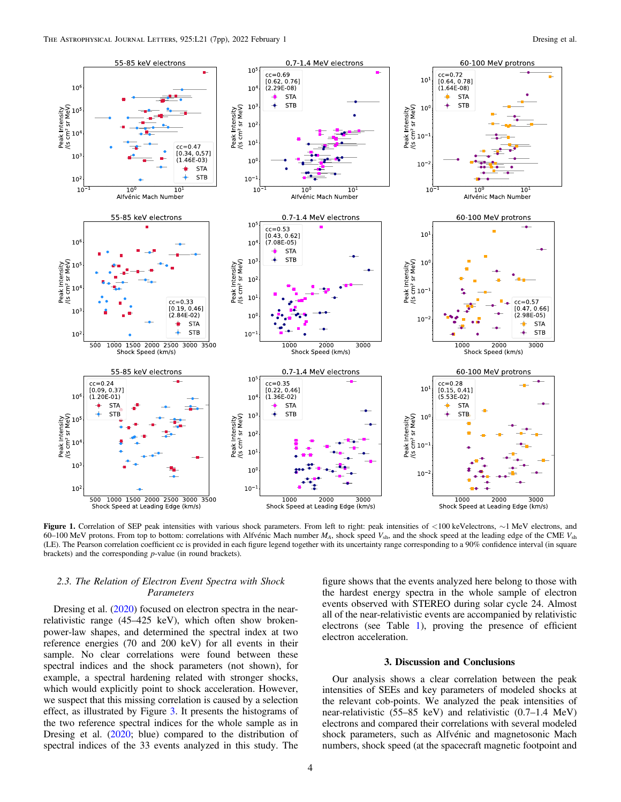

Figure 1. Correlation of SEP peak intensities with various shock parameters. From left to right: peak intensities of <100 keVelectrons, ∼1 MeV electrons, and  $60-100$  MeV protons. From top to bottom: correlations with Alfvénic Mach number  $M_A$ , shock speed  $V_{\rm sh}$ , and the shock speed at the leading edge of the CME  $V_{\rm sh}$ (LE). The Pearson correlation coefficient cc is provided in each figure legend together with its uncertainty range corresponding to a 90% confidence interval (in square brackets) and the corresponding p-value (in round brackets).

#### 2.3. The Relation of Electron Event Spectra with Shock Parameters

Dresing et al. (2020) focused on electron spectra in the nearrelativistic range (45–425 keV), which often show brokenpower-law shapes, and determined the spectral index at two reference energies (70 and 200 keV) for all events in their sample. No clear correlations were found between these spectral indices and the shock parameters (not shown), for example, a spectral hardening related with stronger shocks, which would explicitly point to shock acceleration. However, we suspect that this missing correlation is caused by a selection effect, as illustrated by Figure 3. It presents the histograms of the two reference spectral indices for the whole sample as in Dresing et al. (2020; blue) compared to the distribution of spectral indices of the 33 events analyzed in this study. The

figure shows that the events analyzed here belong to those with the hardest energy spectra in the whole sample of electron events observed with STEREO during solar cycle 24. Almost all of the near-relativistic events are accompanied by relativistic electrons (see Table 1), proving the presence of efficient electron acceleration.

#### 3. Discussion and Conclusions

Our analysis shows a clear correlation between the peak intensities of SEEs and key parameters of modeled shocks at the relevant cob-points. We analyzed the peak intensities of near-relativistic (55–85 keV) and relativistic (0.7–1.4 MeV) electrons and compared their correlations with several modeled shock parameters, such as Alfvénic and magnetosonic Mach numbers, shock speed (at the spacecraft magnetic footpoint and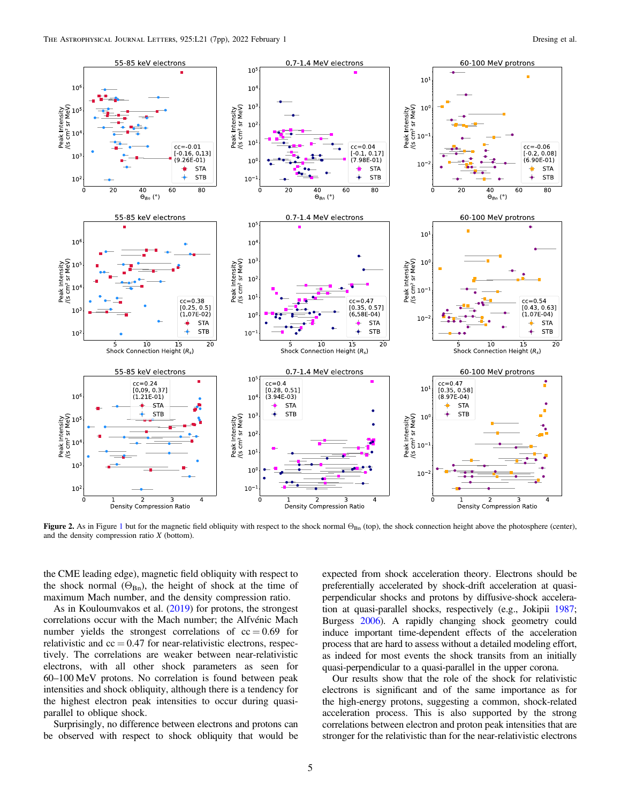

Figure 2. As in Figure 1 but for the magnetic field obliquity with respect to the shock normal  $\Theta_{Bn}$  (top), the shock connection height above the photosphere (center), and the density compression ratio  $X$  (bottom).

the CME leading edge), magnetic field obliquity with respect to the shock normal  $(\Theta_{Bn})$ , the height of shock at the time of maximum Mach number, and the density compression ratio.

As in Kouloumvakos et al. (2019) for protons, the strongest correlations occur with the Mach number; the Alfvénic Mach number yields the strongest correlations of  $cc = 0.69$  for relativistic and  $cc = 0.47$  for near-relativistic electrons, respectively. The correlations are weaker between near-relativistic electrons, with all other shock parameters as seen for 60–100 MeV protons. No correlation is found between peak intensities and shock obliquity, although there is a tendency for the highest electron peak intensities to occur during quasiparallel to oblique shock.

Surprisingly, no difference between electrons and protons can be observed with respect to shock obliquity that would be expected from shock acceleration theory. Electrons should be preferentially accelerated by shock-drift acceleration at quasiperpendicular shocks and protons by diffusive-shock acceleration at quasi-parallel shocks, respectively (e.g., Jokipii 1987; Burgess 2006). A rapidly changing shock geometry could induce important time-dependent effects of the acceleration process that are hard to assess without a detailed modeling effort, as indeed for most events the shock transits from an initially quasi-perpendicular to a quasi-parallel in the upper corona.

Our results show that the role of the shock for relativistic electrons is significant and of the same importance as for the high-energy protons, suggesting a common, shock-related acceleration process. This is also supported by the strong correlations between electron and proton peak intensities that are stronger for the relativistic than for the near-relativistic electrons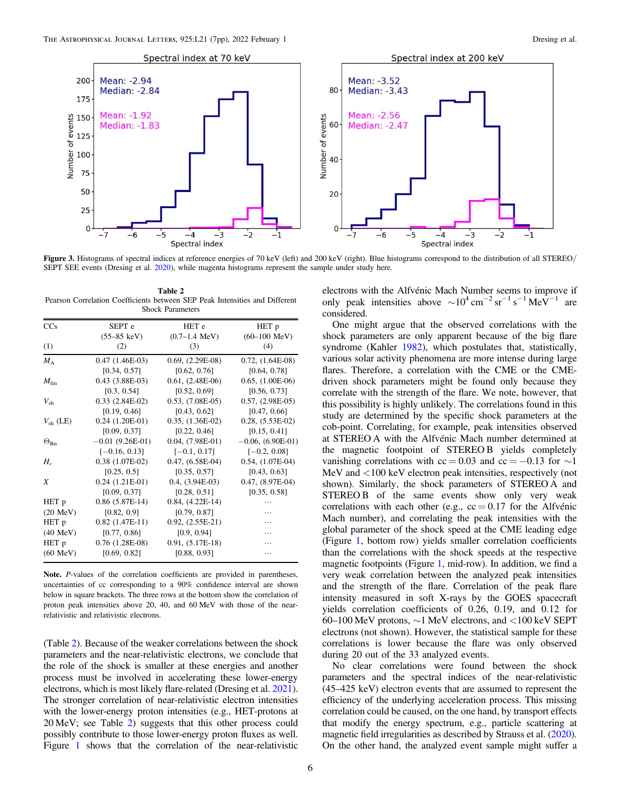

Figure 3. Histograms of spectral indices at reference energies of 70 keV (left) and 200 keV (right). Blue histograms correspond to the distribution of all STEREO/ SEPT SEE events (Dresing et al. 2020), while magenta histograms represent the sample under study here.

considered.

Table 2 Pearson Correlation Coefficients between SEP Peak Intensities and Different Shock Parameters

| CCs                | SEPT <sub>e</sub>     | HET <sub>e</sub>        | HET p                  |
|--------------------|-----------------------|-------------------------|------------------------|
|                    | $(55-85 \text{ keV})$ | $(0.7–1.4 \text{ MeV})$ | $(60-100 \text{ MeV})$ |
| (1)                | (2)                   | (3)                     | (4)                    |
| $M_A$              | $0.47(1.46E-03)$      | $0.69, (2.29E-08)$      | $0.72, (1.64E-08)$     |
|                    | [0.34, 0.57]          | [0.62, 0.76]            | [0.64, 0.78]           |
| $M_{\rm fm}$       | $0.43$ $(3.88E-03)$   | $0.61, (2.48E-06)$      | $0.65, (1.00E-06)$     |
|                    | [0.3, 0.54]           | [0.52, 0.69]            | [0.56, 0.73]           |
| $V_{\rm sh}$       | $0.33$ $(2.84E-02)$   | $0.53, (7.08E-05)$      | $0.57, (2.98E-05)$     |
|                    | [0.19, 0.46]          | [0.43, 0.62]            | [0.47, 0.66]           |
| $V_{\rm sh}$ (LE)  | $0.24$ $(1.20E-01)$   | $0.35, (1.36E-02)$      | $0.28, (5.53E-02)$     |
|                    | [0.09, 0.37]          | [0.22, 0.46]            | [0.15, 0.41]           |
| $\Theta_{\rm Bn}$  | $-0.01$ (9.26E-01)    | $0.04, (7.98E-01)$      | $-0.06, (6.90E-01)$    |
|                    | $[-0.16, 0.13]$       | $[-0.1, 0.17]$          | $[-0.2, 0.08]$         |
| $H_c$              | $0.38$ $(1.07E-02)$   | $0.47, (6.58E-04)$      | $0.54, (1.07E-04)$     |
|                    | [0.25, 0.5]           | [0.35, 0.57]            | [0.43, 0.63]           |
| X                  | $0.24$ $(1.21E-01)$   | $0.4, (3.94E-03)$       | $0.47, (8.97E-04)$     |
|                    | [0.09, 0.37]          | [0.28, 0.51]            | [0.35, 0.58]           |
| HET p              | $0.86$ (5.87E-14)     | $0.84, (4.22E-14)$      |                        |
| $(20 \text{ MeV})$ | [0.82, 0.9]           | [0.79, 0.87]            | .                      |
| HET p              | $0.82$ (1.47E-11)     | $0.92, (2.55E-21)$      | .                      |
| $(40 \text{ MeV})$ | [0.77, 0.86]          | [0.9, 0.94]             | .                      |
| HET p              | $0.76$ $(1.28E-08)$   | $0.91, (5.17E-18)$      | .                      |
| $(60 \text{ MeV})$ | [0.69, 0.82]          | [0.88, 0.93]            |                        |

Note. P-values of the correlation coefficients are provided in parentheses, uncertainties of cc corresponding to a 90% confidence interval are shown below in square brackets. The three rows at the bottom show the correlation of proton peak intensities above 20, 40, and 60 MeV with those of the nearrelativistic and relativistic electrons.

(Table 2). Because of the weaker correlations between the shock parameters and the near-relativistic electrons, we conclude that the role of the shock is smaller at these energies and another process must be involved in accelerating these lower-energy electrons, which is most likely flare-related (Dresing et al. 2021). The stronger correlation of near-relativistic electron intensities with the lower-energy proton intensities (e.g., HET-protons at 20 MeV; see Table 2) suggests that this other process could possibly contribute to those lower-energy proton fluxes as well. Figure 1 shows that the correlation of the near-relativistic

at STEREO A with the Alfvénic Mach number determined at the magnetic footpoint of STEREO B yields completely vanishing correlations with  $cc = 0.03$  and  $cc = -0.13$  for  $\sim$ 1

electrons with the Alfvénic Mach Number seems to improve if only peak intensities above  $\sim 10^4 \text{ cm}^{-2} \text{ sr}^{-1} \text{ s}^{-1} \text{ MeV}^{-1}$  are

One might argue that the observed correlations with the shock parameters are only apparent because of the big flare syndrome (Kahler 1982), which postulates that, statistically, various solar activity phenomena are more intense during large flares. Therefore, a correlation with the CME or the CMEdriven shock parameters might be found only because they correlate with the strength of the flare. We note, however, that this possibility is highly unlikely. The correlations found in this study are determined by the specific shock parameters at the cob-point. Correlating, for example, peak intensities observed

MeV and <100 keV electron peak intensities, respectively (not shown). Similarly, the shock parameters of STEREO A and STEREO B of the same events show only very weak correlations with each other (e.g.,  $cc = 0.17$  for the Alfvénic Mach number), and correlating the peak intensities with the global parameter of the shock speed at the CME leading edge (Figure 1, bottom row) yields smaller correlation coefficients than the correlations with the shock speeds at the respective magnetic footpoints (Figure 1, mid-row). In addition, we find a very weak correlation between the analyzed peak intensities and the strength of the flare. Correlation of the peak flare intensity measured in soft X-rays by the GOES spacecraft yields correlation coefficients of 0.26, 0.19, and 0.12 for 60–100 MeV protons, ∼1 MeV electrons, and <100 keV SEPT electrons (not shown). However, the statistical sample for these correlations is lower because the flare was only observed during 20 out of the 33 analyzed events.

No clear correlations were found between the shock parameters and the spectral indices of the near-relativistic (45–425 keV) electron events that are assumed to represent the efficiency of the underlying acceleration process. This missing correlation could be caused, on the one hand, by transport effects that modify the energy spectrum, e.g., particle scattering at magnetic field irregularities as described by Strauss et al. (2020). On the other hand, the analyzed event sample might suffer a